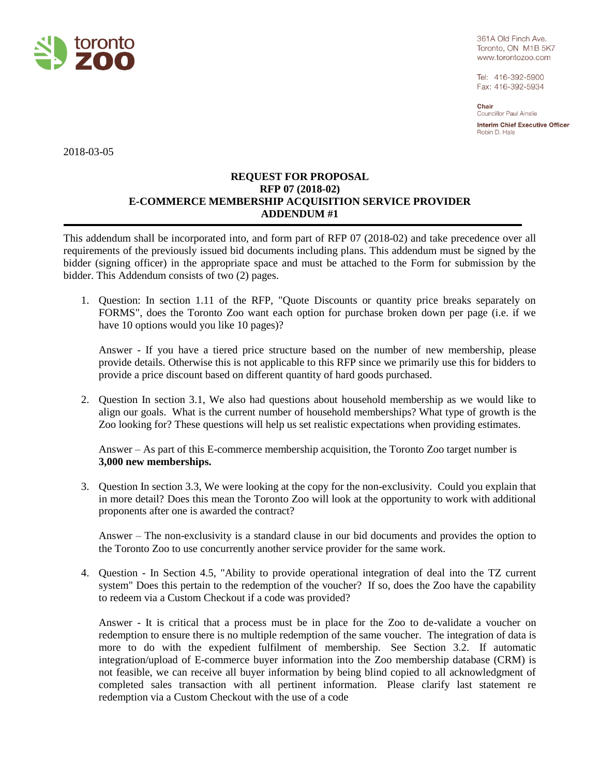

361A Old Finch Ave. Toronto, ON M1B 5K7 www.torontozoo.com

Tel: 416-392-5900 Fax: 416-392-5934

Chair **Councillor Paul Ainslie** 

**Interim Chief Executive Officer** Robin D. Hale

2018-03-05

## **REQUEST FOR PROPOSAL RFP 07 (2018-02) E-COMMERCE MEMBERSHIP ACQUISITION SERVICE PROVIDER ADDENDUM #1**

This addendum shall be incorporated into, and form part of RFP 07 (2018-02) and take precedence over all requirements of the previously issued bid documents including plans. This addendum must be signed by the bidder (signing officer) in the appropriate space and must be attached to the Form for submission by the bidder. This Addendum consists of two (2) pages.

1. Question: In section 1.11 of the RFP, "Quote Discounts or quantity price breaks separately on FORMS", does the Toronto Zoo want each option for purchase broken down per page (i.e. if we have 10 options would you like 10 pages)?

Answer - If you have a tiered price structure based on the number of new membership, please provide details. Otherwise this is not applicable to this RFP since we primarily use this for bidders to provide a price discount based on different quantity of hard goods purchased.

2. Question In section 3.1, We also had questions about household membership as we would like to align our goals. What is the current number of household memberships? What type of growth is the Zoo looking for? These questions will help us set realistic expectations when providing estimates.

Answer – As part of this E-commerce membership acquisition, the Toronto Zoo target number is **3,000 new memberships.**

3. Question In section 3.3, We were looking at the copy for the non-exclusivity. Could you explain that in more detail? Does this mean the Toronto Zoo will look at the opportunity to work with additional proponents after one is awarded the contract?

Answer – The non-exclusivity is a standard clause in our bid documents and provides the option to the Toronto Zoo to use concurrently another service provider for the same work.

4. Question - In Section 4.5, "Ability to provide operational integration of deal into the TZ current system" Does this pertain to the redemption of the voucher? If so, does the Zoo have the capability to redeem via a Custom Checkout if a code was provided?

Answer - It is critical that a process must be in place for the Zoo to de-validate a voucher on redemption to ensure there is no multiple redemption of the same voucher. The integration of data is more to do with the expedient fulfilment of membership. See Section 3.2. If automatic integration/upload of E-commerce buyer information into the Zoo membership database (CRM) is not feasible, we can receive all buyer information by being blind copied to all acknowledgment of completed sales transaction with all pertinent information. Please clarify last statement re redemption via a Custom Checkout with the use of a code